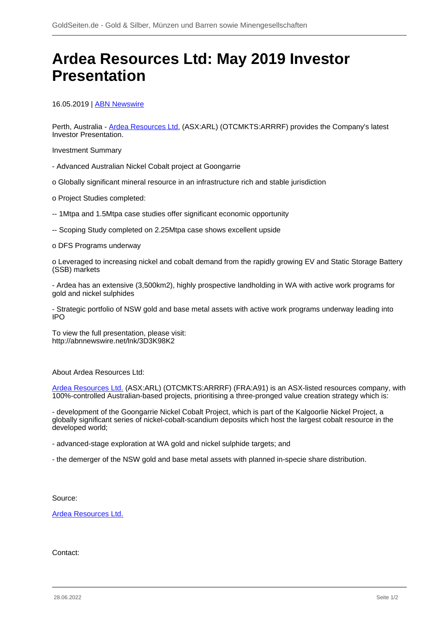## **Ardea Resources Ltd: May 2019 Investor Presentation**

16.05.2019 | **ABN Newswire** 

Perth, Australia - [Ardea Resources Ltd.](/minen/3290--Ardea-Resources-Ltd) (ASX:ARL) (OTCMKTS:ARRRF) provides the Company's latest Investor Presentation.

Investment Summary

- Advanced Australian Nickel Cobalt project at Goongarrie
- o Globally significant mineral resource in an infrastructure rich and stable jurisdiction
- o Project Studies completed:
- -- 1Mtpa and 1.5Mtpa case studies offer significant economic opportunity
- -- Scoping Study completed on 2.25Mtpa case shows excellent upside

o DFS Programs underway

o Leveraged to increasing nickel and cobalt demand from the rapidly growing EV and Static Storage Battery (SSB) markets

- Ardea has an extensive (3,500km2), highly prospective landholding in WA with active work programs for gold and nickel sulphides

- Strategic portfolio of NSW gold and base metal assets with active work programs underway leading into IPO

To view the full presentation, please visit: http://abnnewswire.net/lnk/3D3K98K2

About Ardea Resources Ltd:

[Ardea Resources Ltd.](/minen/3290--Ardea-Resources-Ltd) (ASX:ARL) (OTCMKTS:ARRRF) (FRA:A91) is an ASX-listed resources company, with 100%-controlled Australian-based projects, prioritising a three-pronged value creation strategy which is:

- development of the Goongarrie Nickel Cobalt Project, which is part of the Kalgoorlie Nickel Project, a globally significant series of nickel-cobalt-scandium deposits which host the largest cobalt resource in the developed world;

- advanced-stage exploration at WA gold and nickel sulphide targets; and
- the demerger of the NSW gold and base metal assets with planned in-specie share distribution.

Source:

[Ardea Resources Ltd.](/minen/3290--Ardea-Resources-Ltd)

Contact: